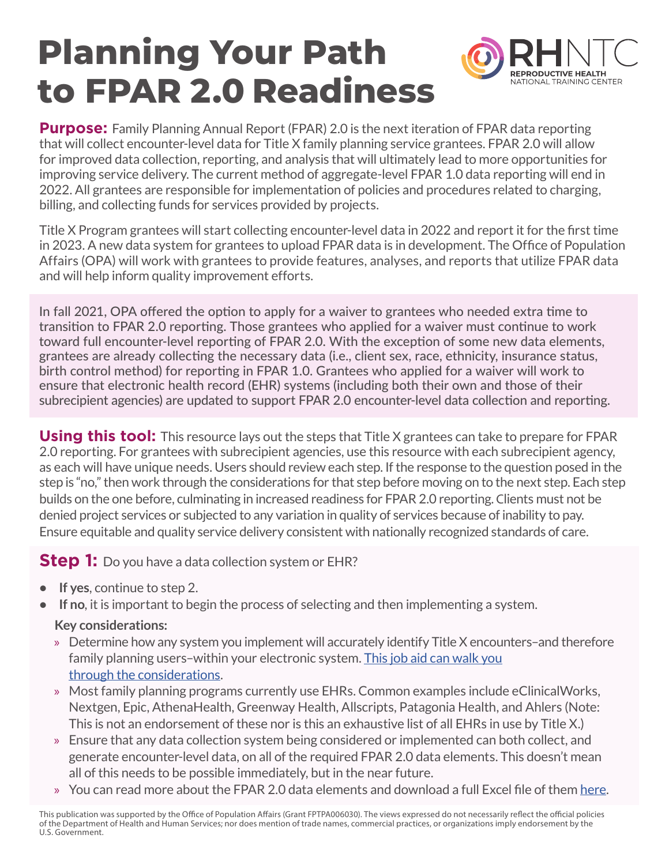## **Planning Your Path REPRODUCTIVE HEALTH** NATIONAL TRAINING CENTER **to FPAR 2.0 Readiness**

**Purpose:** Family Planning Annual Report (FPAR) 2.0 is the next iteration of FPAR data reporting that will collect encounter-level data for Title X family planning service grantees. FPAR 2.0 will allow for improved data collection, reporting, and analysis that will ultimately lead to more opportunities for improving service delivery. The current method of aggregate-level FPAR 1.0 data reporting will end in 2022. All grantees are responsible for implementation of policies and procedures related to charging, billing, and collecting funds for services provided by projects.

Title X Program grantees will start collecting encounter-level data in 2022 and report it for the first time in 2023. A new data system for grantees to upload FPAR data is in development. The Office of Population Affairs (OPA) will work with grantees to provide features, analyses, and reports that utilize FPAR data and will help inform quality improvement efforts.

In fall 2021, OPA offered the option to apply for a waiver to grantees who needed extra time to transition to FPAR 2.0 reporting. Those grantees who applied for a waiver must continue to work toward full encounter-level reporting of FPAR 2.0. With the exception of some new data elements, grantees are already collecting the necessary data (i.e., client sex, race, ethnicity, insurance status, birth control method) for reporting in FPAR 1.0. Grantees who applied for a waiver will work to ensure that electronic health record (EHR) systems (including both their own and those of their subrecipient agencies) are updated to support FPAR 2.0 encounter-level data collection and reporting.

**Using this tool:** This resource lays out the steps that Title X grantees can take to prepare for FPAR 2.0 reporting. For grantees with subrecipient agencies, use this resource with each subrecipient agency, as each will have unique needs. Users should review each step. If the response to the question posed in the step is "no," then work through the considerations for that step before moving on to the next step. Each step builds on the one before, culminating in increased readiness for FPAR 2.0 reporting. Clients must not be denied project services or subjected to any variation in quality of services because of inability to pay. Ensure equitable and quality service delivery consistent with nationally recognized standards of care.

**Step 1:** Do you have a data collection system or EHR?

- **• If yes**, continue to step 2.
- **• If no**, it is important to begin the process of selecting and then implementing a system.

## **Key considerations:**

- » Determine how any system you implement will accurately identify Title X encounters–and therefore family planning users–within your electronic system. [This job aid can walk you](https://rhntc.org/resources/understanding-fpar-definitions-what-family-planning-encounter-and-who-family-planning)  [through the considerations.](https://rhntc.org/resources/understanding-fpar-definitions-what-family-planning-encounter-and-who-family-planning)
- » Most family planning programs currently use EHRs. Common examples include eClinicalWorks, Nextgen, Epic, AthenaHealth, Greenway Health, Allscripts, Patagonia Health, and Ahlers (Note: This is not an endorsement of these nor is this an exhaustive list of all EHRs in use by Title X.)
- » Ensure that any data collection system being considered or implemented can both collect, and generate encounter-level data, on all of the required FPAR 2.0 data elements. This doesn't mean all of this needs to be possible immediately, but in the near future.
- » You can read more about the FPAR 2.0 data elements and download a full Excel file of them [here](https://opa.hhs.gov/research-evaluation/title-x-services-research/family-planning-annual-report/fpar2).

This publication was supported by the Office of Population Affairs (Grant FPTPA006030). The views expressed do not necessarily reflect the official policies of the Department of Health and Human Services; nor does mention of trade names, commercial practices, or organizations imply endorsement by the U.S. Government.